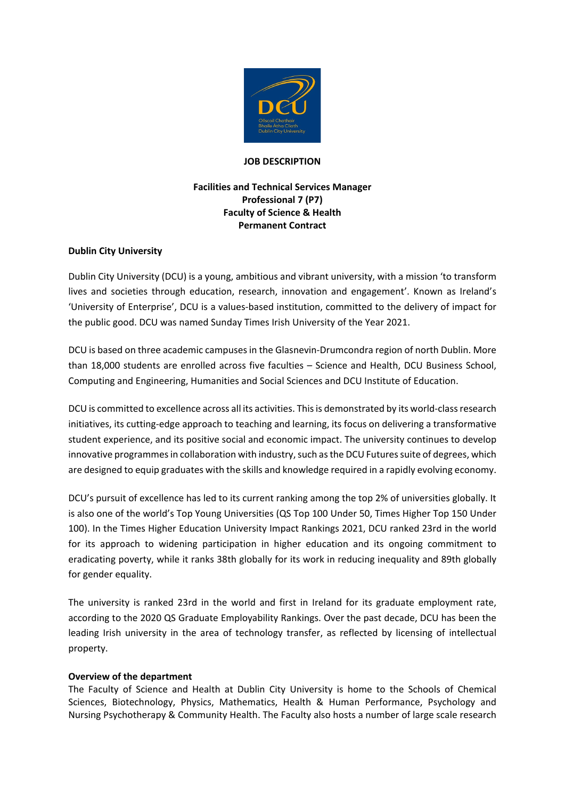

#### **JOB DESCRIPTION**

# **Facilities and Technical Services Manager Professional 7 (P7) Faculty of Science & Health Permanent Contract**

### **Dublin City University**

Dublin City University (DCU) is a young, ambitious and vibrant university, with a mission 'to transform lives and societies through education, research, innovation and engagement'. Known as Ireland's 'University of Enterprise', DCU is a values-based institution, committed to the delivery of impact for the public good. DCU was named Sunday Times Irish University of the Year 2021.

DCU is based on three academic campuses in the Glasnevin-Drumcondra region of north Dublin. More than 18,000 students are enrolled across five faculties – Science and Health, DCU Business School, Computing and Engineering, Humanities and Social Sciences and DCU Institute of Education.

DCU is committed to excellence across all its activities. This is demonstrated by its world-class research initiatives, its cutting-edge approach to teaching and learning, its focus on delivering a transformative student experience, and its positive social and economic impact. The university continues to develop innovative programmes in collaboration with industry, such as the DCU Futures suite of degrees, which are designed to equip graduates with the skills and knowledge required in a rapidly evolving economy.

DCU's pursuit of excellence has led to its current ranking among the top 2% of universities globally. It is also one of the world's Top Young Universities (QS Top 100 Under 50, Times Higher Top 150 Under 100). In the Times Higher Education University Impact Rankings 2021, DCU ranked 23rd in the world for its approach to widening participation in higher education and its ongoing commitment to eradicating poverty, while it ranks 38th globally for its work in reducing inequality and 89th globally for gender equality.

The university is ranked 23rd in the world and first in Ireland for its graduate employment rate, according to the 2020 QS Graduate Employability Rankings. Over the past decade, DCU has been the leading Irish university in the area of technology transfer, as reflected by licensing of intellectual property.

#### **Overview of the department**

The Faculty of Science and Health at Dublin City University is home to the Schools of Chemical Sciences, Biotechnology, Physics, Mathematics, Health & Human Performance, Psychology and Nursing Psychotherapy & Community Health. The Faculty also hosts a number of large scale research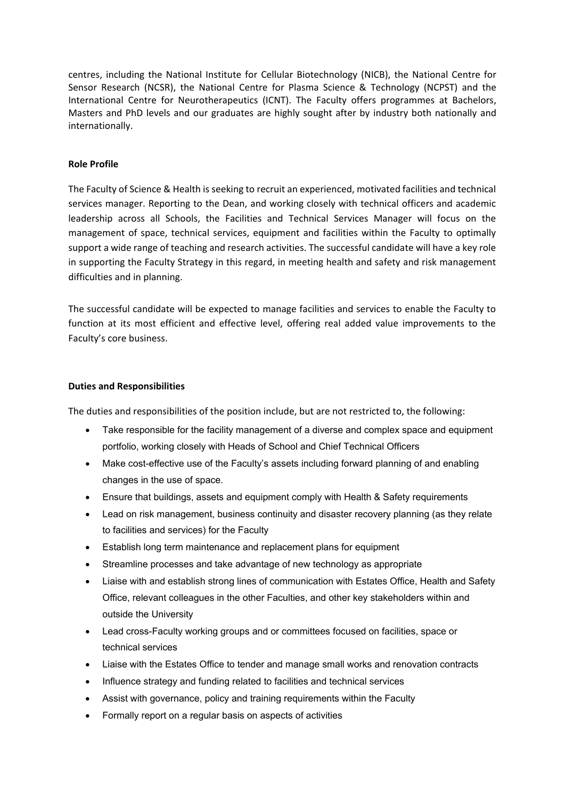centres, including the National Institute for Cellular Biotechnology (NICB), the National Centre for Sensor Research (NCSR), the National Centre for Plasma Science & Technology (NCPST) and the International Centre for Neurotherapeutics (ICNT). The Faculty offers programmes at Bachelors, Masters and PhD levels and our graduates are highly sought after by industry both nationally and internationally.

#### **Role Profile**

The Faculty of Science & Health is seeking to recruit an experienced, motivated facilities and technical services manager. Reporting to the Dean, and working closely with technical officers and academic leadership across all Schools, the Facilities and Technical Services Manager will focus on the management of space, technical services, equipment and facilities within the Faculty to optimally support a wide range of teaching and research activities. The successful candidate will have a key role in supporting the Faculty Strategy in this regard, in meeting health and safety and risk management difficulties and in planning.

The successful candidate will be expected to manage facilities and services to enable the Faculty to function at its most efficient and effective level, offering real added value improvements to the Faculty's core business.

#### **Duties and Responsibilities**

The duties and responsibilities of the position include, but are not restricted to, the following:

- Take responsible for the facility management of a diverse and complex space and equipment portfolio, working closely with Heads of School and Chief Technical Officers
- Make cost-effective use of the Faculty's assets including forward planning of and enabling changes in the use of space.
- Ensure that buildings, assets and equipment comply with Health & Safety requirements
- Lead on risk management, business continuity and disaster recovery planning (as they relate to facilities and services) for the Faculty
- Establish long term maintenance and replacement plans for equipment
- Streamline processes and take advantage of new technology as appropriate
- Liaise with and establish strong lines of communication with Estates Office, Health and Safety Office, relevant colleagues in the other Faculties, and other key stakeholders within and outside the University
- Lead cross-Faculty working groups and or committees focused on facilities, space or technical services
- Liaise with the Estates Office to tender and manage small works and renovation contracts
- Influence strategy and funding related to facilities and technical services
- Assist with governance, policy and training requirements within the Faculty
- Formally report on a regular basis on aspects of activities